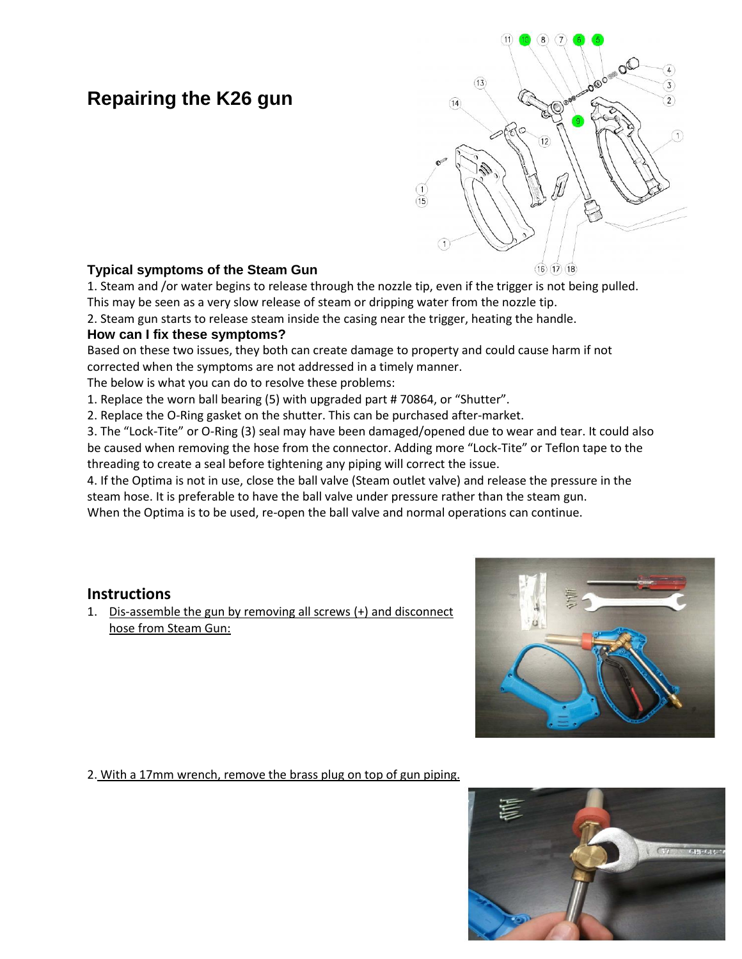## **Repairing the K26 gun**



## **Typical symptoms of the Steam Gun**

1. Steam and /or water begins to release through the nozzle tip, even if the trigger is not being pulled. This may be seen as a very slow release of steam or dripping water from the nozzle tip.

2. Steam gun starts to release steam inside the casing near the trigger, heating the handle.

## **How can I fix these symptoms?**

Based on these two issues, they both can create damage to property and could cause harm if not corrected when the symptoms are not addressed in a timely manner.

The below is what you can do to resolve these problems:

1. Replace the worn ball bearing (5) with upgraded part # 70864, or "Shutter".

2. Replace the O-Ring gasket on the shutter. This can be purchased after-market.

3. The "Lock-Tite" or O-Ring (3) seal may have been damaged/opened due to wear and tear. It could also be caused when removing the hose from the connector. Adding more "Lock-Tite" or Teflon tape to the threading to create a seal before tightening any piping will correct the issue.

4. If the Optima is not in use, close the ball valve (Steam outlet valve) and release the pressure in the steam hose. It is preferable to have the ball valve under pressure rather than the steam gun. When the Optima is to be used, re-open the ball valve and normal operations can continue.

## **Instructions**

1. Dis-assemble the gun by removing all screws (+) and disconnect hose from Steam Gun:



2. With a 17mm wrench, remove the brass plug on top of gun piping.